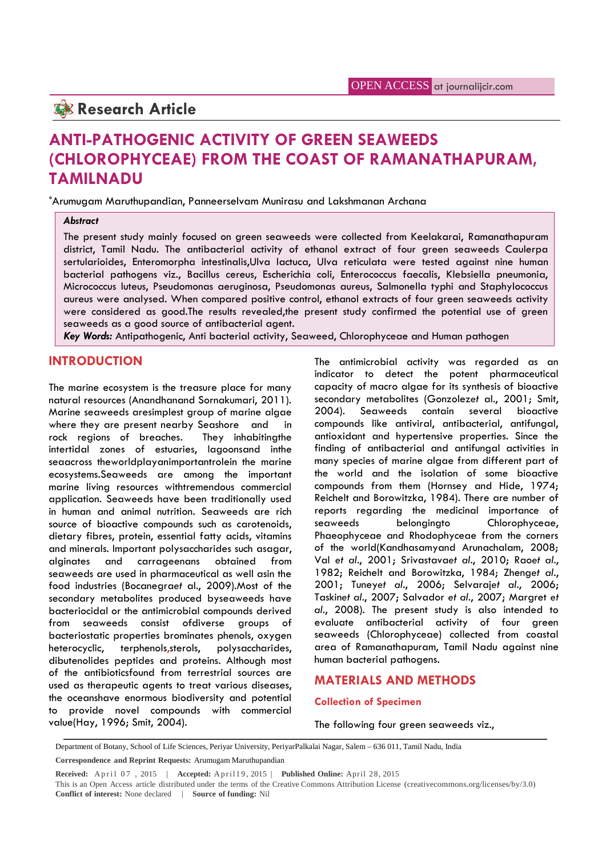# **Research Article**

# **ANTI-PATHOGENIC ACTIVITY OF GREEN SEAWEEDS (CHLOROPHYCEAE) FROM THE COAST OF RAMANATHAPURAM, TAMILNADU**

\*Arumugam Maruthupandian, Panneerselvam Munirasu and Lakshmanan Archana

#### *Abstract*

The present study mainly focused on green seaweeds were collected from Keelakarai, Ramanathapuram district, Tamil Nadu. The antibacterial activity of ethanol extract of four green seaweeds Caulerpa sertularioides, Enteromorpha intestinalis,Ulva lactuca, Ulva reticulata were tested against nine human bacterial pathogens viz., Bacillus cereus, Escherichia coli, Enterococcus faecalis, Klebsiella pneumonia, Micrococcus luteus, Pseudomonas aeruginosa, Pseudomonas aureus, Salmonella typhi and Staphylococcus aureus were analysed. When compared positive control, ethanol extracts of four green seaweeds activity were considered as good.The results revealed,the present study confirmed the potential use of green seaweeds as a good source of antibacterial agent.

*Key Words:* Antipathogenic, Anti bacterial activity, Seaweed, Chlorophyceae and Human pathogen

## **INTRODUCTION**

The marine ecosystem is the treasure place for many natural resources (Anandhanand Sornakumari, 2011). Marine seaweeds aresimplest group of marine algae 2004). where they are present nearby Seashore and in rock regions of breaches. They inhabitingthe intertidal zones of estuaries, lagoonsand inthe seaacross theworldplayanimportantrolein the marine ecosystems.Seaweeds are among the important marine living resources withtremendous commercial application. Seaweeds have been traditionally used in human and animal nutrition. Seaweeds are rich source of bioactive compounds such as carotenoids, dietary fibres, protein, essential fatty acids, vitamins and minerals. Important polysaccharides such asagar, alginates and carrageenans obtained from seaweeds are used in pharmaceutical as well asin the food industries (Bocanegra*et* al., 2009).Most of the secondary metabolites produced byseaweeds have bacteriocidal or the antimicrobial compounds derived from seaweeds consist ofdiverse groups of bacteriostatic properties brominates phenols, oxygen heterocyclic, terphenols,sterols, polysaccharides, dibutenolides peptides and proteins. Although most of the antibioticsfound from terrestrial sources are used as therapeutic agents to treat various diseases, the oceanshave enormous biodiversity and potential to provide novel compounds with commercial value(Hay, 1996; Smit, 2004).

The antimicrobial activity was regarded as an indicator to detect the potent pharmaceutical capacity of macro algae for its synthesis of bioactive secondary metabolites (Gonzolez*et* al., 2001; Smit, Seaweeds contain several bioactive compounds like antiviral, antibacterial, antifungal, antioxidant and hypertensive properties. Since the finding of antibacterial and antifungal activities in many species of marine algae from different part of the world and the isolation of some bioactive compounds from them (Hornsey and Hide, 1974; Reichelt and Borowitzka, 1984). There are number of reports regarding the medicinal importance of seaweeds belongingto Chlorophyceae, Phaeophyceae and Rhodophyceae from the corners of the world(Kandhasamyand Arunachalam, 2008; Val *et al*., 2001; Srivastava*et al*., 2010; Rao*et al*., 1982; Reichelt and Borowitzka, 1984; Zheng*et al*., 2001; Tuney*et al*., 2006; Selvaraj*et al*., 2006; Taskin*et al*., 2007; Salvador *et al*., 2007; Margret *et al*., 2008). The present study is also intended to evaluate antibacterial activity of four green seaweeds (Chlorophyceae) collected from coastal area of Ramanathapuram, Tamil Nadu against nine human bacterial pathogens.

### **MATERIALS AND METHODS**

#### **Collection of Specimen**

The following four green seaweeds viz.,

Department of Botany, School of Life Sciences, Periyar University, PeriyarPalkalai Nagar, Salem – 636 011, Tamil Nadu, India

**Referred:** A priorisonal Received: April 07, 2015 | **Accepted:** April 19, 2015 | **Published Online:** April 28, 2015 This is an Open Access article distributed under the terms of the Creative Commons Attribution License (c This is an Open Access article distributed under the terms of the Creative Commons Attribution License (creativecommons.org/licenses/by/3.0) **Conflict of interest:** None declared | **Source of funding:** Nil

**Correspondence and Reprint Requests:** Arumugam Maruthupandian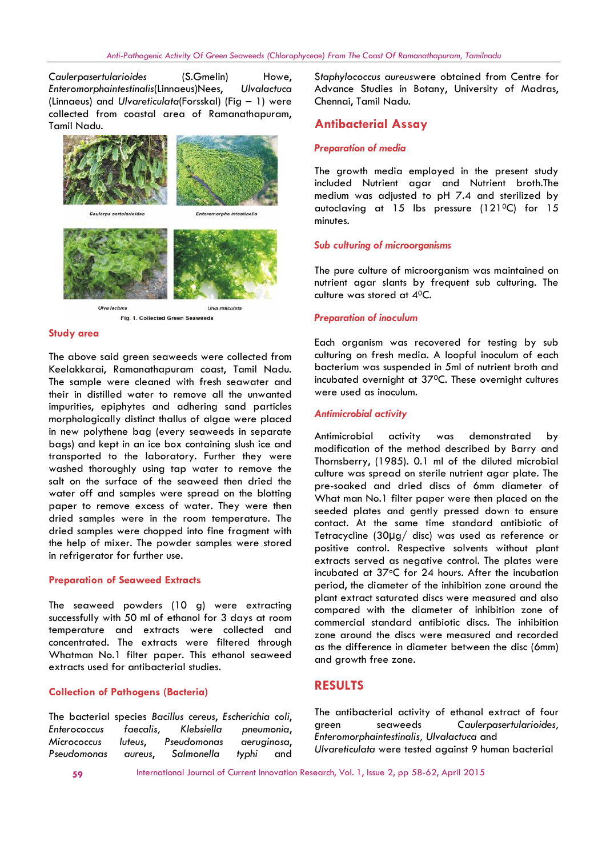*Caulerpasertularioides* (S.Gmelin) Howe, *Enteromorphaintestinalis*(Linnaeus)Nees, *Ulvalactuca* (Linnaeus) and *Ulvareticulata*(Forsskal) (Fig – 1) were collected from coastal area of Ramanathapuram, Tamil Nadu.



Fig. 1. Collected Green Seaweeds

#### **Study area**

The above said green seaweeds were collected from Keelakkarai, Ramanathapuram coast, Tamil Nadu. The sample were cleaned with fresh seawater and their in distilled water to remove all the unwanted impurities, epiphytes and adhering sand particles morphologically distinct thallus of algae were placed in new polythene bag (every seaweeds in separate bags) and kept in an ice box containing slush ice and transported to the laboratory. Further they were washed thoroughly using tap water to remove the salt on the surface of the seaweed then dried the water off and samples were spread on the blotting paper to remove excess of water. They were then dried samples were in the room temperature. The dried samples were chopped into fine fragment with the help of mixer. The powder samples were stored in refrigerator for further use.

#### **Preparation of Seaweed Extracts**

The seaweed powders (10 g) were extracting successfully with 50 ml of ethanol for 3 days at room temperature and extracts were collected and concentrated. The extracts were filtered through Whatman No.1 filter paper. This ethanol seaweed extracts used for antibacterial studies.

#### **Collection of Pathogens (Bacteria)**

The bacterial species *Bacillus cereus*, *Escherichia coli*, *Enterococcus faecalis, Klebsiella pneumonia*, *Micrococcus luteus*, *Pseudomonas aeruginosa*, *Pseudomonas aureus*, *Salmonella typhi* and

S*taphylococcus aureus*were obtained from Centre for Advance Studies in Botany, University of Madras, Chennai, Tamil Nadu.

### **Antibacterial Assay**

#### *Preparation of media*

The growth media employed in the present study included Nutrient agar and Nutrient broth.The medium was adjusted to pH 7.4 and sterilized by autoclaving at 15 lbs pressure (1210C) for 15 minutes.

#### *Sub culturing of microorganisms*

The pure culture of microorganism was maintained on nutrient agar slants by frequent sub culturing. The culture was stored at 40C.

#### *Preparation of inoculum*

Each organism was recovered for testing by sub culturing on fresh media. A loopful inoculum of each bacterium was suspended in 5ml of nutrient broth and incubated overnight at 370C. These overnight cultures were used as inoculum.

#### *Antimicrobial activity*

Antimicrobial activity was demonstrated by modification of the method described by Barry and Thornsberry, (1985). 0.1 ml of the diluted microbial culture was spread on sterile nutrient agar plate. The pre-soaked and dried discs of 6mm diameter of What man No.1 filter paper were then placed on the seeded plates and gently pressed down to ensure contact. At the same time standard antibiotic of Tetracycline (30µg/ disc) was used as reference or positive control. Respective solvents without plant extracts served as negative control. The plates were incubated at 37°C for 24 hours. After the incubation period, the diameter of the inhibition zone around the plant extract saturated discs were measured and also compared with the diameter of inhibition zone of commercial standard antibiotic discs. The inhibition zone around the discs were measured and recorded as the difference in diameter between the disc (6mm) and growth free zone.

## **RESULTS**

The antibacterial activity of ethanol extract of four green seaweeds *Caulerpasertularioides, Enteromorphaintestinalis, Ulvalactuca* and *Ulvareticulata* were tested against 9 human bacterial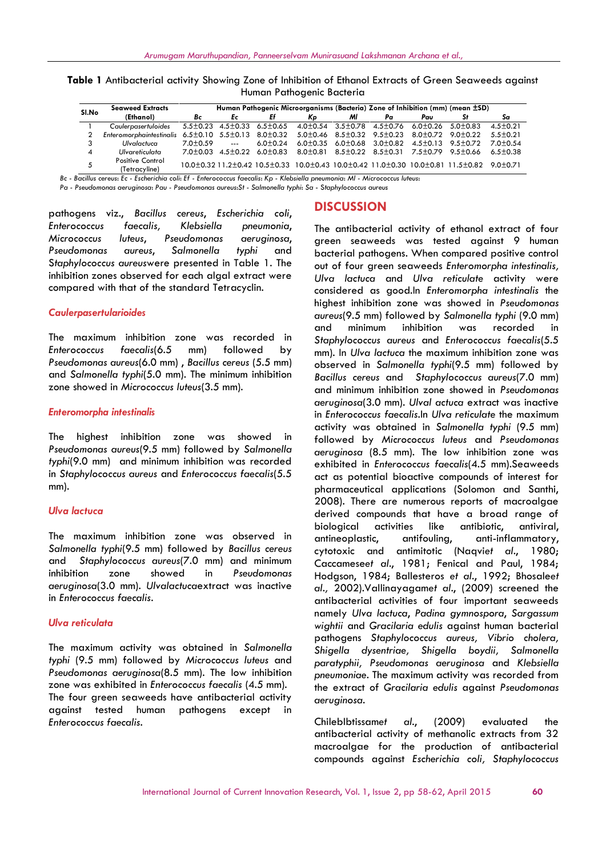| Thomain T annogenic Bacieria |                                                                                                           |                                                                               |    |    |    |    |    |     |                                                                                                                                      |              |
|------------------------------|-----------------------------------------------------------------------------------------------------------|-------------------------------------------------------------------------------|----|----|----|----|----|-----|--------------------------------------------------------------------------------------------------------------------------------------|--------------|
| SI.No                        | <b>Seaweed Extracts</b>                                                                                   | Human Pathogenic Microorganisms (Bacteria) Zone of Inhibition (mm) (mean ±SD) |    |    |    |    |    |     |                                                                                                                                      |              |
|                              | (Ethanol)                                                                                                 | Bc                                                                            | Ec | Ef | Kp | МI | Pα | Pau |                                                                                                                                      | Sa           |
|                              | Caulerpasertuloides 5.5±0.23 4.5±0.33 6.5±0.65 4.0±0.54 3.5±0.78 4.5±0.76 6.0±0.26 5.0±0.83               |                                                                               |    |    |    |    |    |     |                                                                                                                                      | $4.5 + 0.21$ |
|                              | Enteromorphaintestinalis 6.5±0.10 5.5±0.13 8.0±0.32 5.0±0.46 8.5±0.32 9.5±0.23 8.0±0.72 9.0±0.22 5.5±0.21 |                                                                               |    |    |    |    |    |     |                                                                                                                                      |              |
|                              | Ulvalactuca                                                                                               | $7.0+0.59$ ---                                                                |    |    |    |    |    |     | 6.0±0.24 6.0±0.35 6.0±0.68 3.0±0.82 4.5±0.13 9.5±0.72 7.0±0.54                                                                       |              |
| 4                            | Ulvareticulata                                                                                            |                                                                               |    |    |    |    |    |     | $7.0\pm0.03$ 4.5 $\pm$ 0.22 6.0 $\pm$ 0.83 8.0 $\pm$ 0.81 8.5 $\pm$ 0.22 8.5 $\pm$ 0.31 7.5 $\pm$ 0.79 9.5 $\pm$ 0.66 6.5 $\pm$ 0.38 |              |
|                              | Positive Control                                                                                          |                                                                               |    |    |    |    |    |     |                                                                                                                                      |              |

**Table 1** Antibacterial activity Showing Zone of Inhibition of Ethanol Extracts of Green Seaweeds against Human Pathogenic Bacteria

<sup>2</sup>ositive Control 10.0±0.32 11.2±0.42 10.5±0.33 10.0±0.43 10.0±0.42 11.0±0.30 10.0±0.81 11.5±0.82 9.0±0.71<br>(Tetracyline) Bc - Bacillus cereus: Ec - Escherichia coli: Ef - Enterococcus faecalis: Kp - Klebsiella pneumonia: MI - Micrococcus Iuteus:

*Pa - Pseudomonas aeruginosa*: *Pau - Pseudomonas aureus*:*St - Salmonella typhi*: *Sa* - S*taphylococcus aureus*

pathogens viz., *Bacillus cereus*, *Escherichia coli*, *Enterococcus faecalis, Klebsiella pneumonia*, *Micrococcus luteus*, *Pseudomonas aeruginosa*, *Pseudomonas aureus*, *Salmonella typhi* and S*taphylococcus aureus*were presented in Table 1. The inhibition zones observed for each algal extract were compared with that of the standard Tetracyclin.

#### *Caulerpasertularioides*

יט<br>ד*ו* 5

The maximum inhibition zone was recorded in *Enterococcus faecalis*(6.5 mm) followed by *Pseudomonas aureus*(6.0 mm) , *Bacillus cereus* (5.5 mm) and *Salmonella typhi*(5.0 mm). The minimum inhibition zone showed in *Micrococcus luteus*(3.5 mm).

#### *Enteromorpha intestinalis*

The highest inhibition zone was showed in *Pseudomonas aureus*(9.5 mm) followed by *Salmonella typhi*(9.0 mm) and minimum inhibition was recorded in *Staphylococcus aureus* and *Enterococcus faecalis*(5.5 mm).

#### *Ulva lactuca*

The maximum inhibition zone was observed in antineoplastic, *Salmonella typhi*(9.5 mm) followed by *Bacillus cereus* and *Staphylococcus aureus*(7.0 mm) and minimum inhibition zone showed in *Pseudomonas aeruginosa*(3.0 mm). *Ulvalactuca*extract was inactive in *Enterococcus faecalis*.

#### *Ulva reticulata*

The maximum activity was obtained in *Salmonella typhi* (9.5 mm) followed by *Micrococcus luteus* and *Pseudomonas aeruginosa*(8.5 mm). The low inhibition zone was exhibited in *Enterococcus faecalis* (4.5 mm). The four green seaweeds have antibacterial activity against tested human pathogens except in *Enterococcus faecalis.*

## **DISCUSSION**

The antibacterial activity of ethanol extract of four green seaweeds was tested against 9 human bacterial pathogens. When compared positive control out of four green seaweeds *Enteromorpha intestinalis, Ulva lactuca* and *Ulva reticulate* activity were considered as good.In *Enteromorpha intestinalis* the highest inhibition zone was showed in *Pseudomonas aureus*(9.5 mm) followed by *Salmonella typhi* (9.0 mm) and minimum inhibition was recorded in *Staphylococcus aureus* and *Enterococcus faecalis*(5.5 mm). In *Ulva lactuca* the maximum inhibition zone was observed in *Salmonella typhi*(9.5 mm) followed by *Bacillus cereus* and *Staphylococcus aureus*(7.0 mm) and minimum inhibition zone showed in *Pseudomonas aeruginosa*(3.0 mm). *Ulval actuca* extract was inactive in *Enterococcus faecalis*.In *Ulva reticulate* the maximum activity was obtained in *Salmonella typhi* (9.5 mm) followed by *Micrococcus luteus* and *Pseudomonas aeruginosa* (8.5 mm). The low inhibition zone was exhibited in *Enterococcus faecalis*(4.5 mm).Seaweeds act as potential bioactive compounds of interest for pharmaceutical applications (Solomon and Santhi, 2008). There are numerous reports of macroalgae derived compounds that have a broad range of biological activities like antibiotic, antiviral, antifouling, anti-inflammatory, cytotoxic and antimitotic (Naqvi*et al*., 1980; Caccamese*et al*., 1981; Fenical and Paul, 1984; Hodgson, 1984; Ballesteros *et al*., 1992; Bhosale*et al.,* 2002).Vallinayagam*et al*., (2009) screened the antibacterial activities of four important seaweeds namely *Ulva lactuca*, *Padina gymnospora*, *Sargassum wightii* and *Gracilaria edulis* against human bacterial pathogens *Staphylococcus aureus, Vibrio cholera, Shigella dysentriae, Shigella boydii, Salmonella paratyphii, Pseudomonas aeruginosa* and *Klebsiella pneumoniae*. The maximum activity was recorded from the extract of *Gracilaria edulis* against *Pseudomonas aeruginosa*.

ChilebIbtissam*et al*., (2009) evaluated the antibacterial activity of methanolic extracts from 32 macroalgae for the production of antibacterial compounds against *Escherichia coli, Staphylococcus*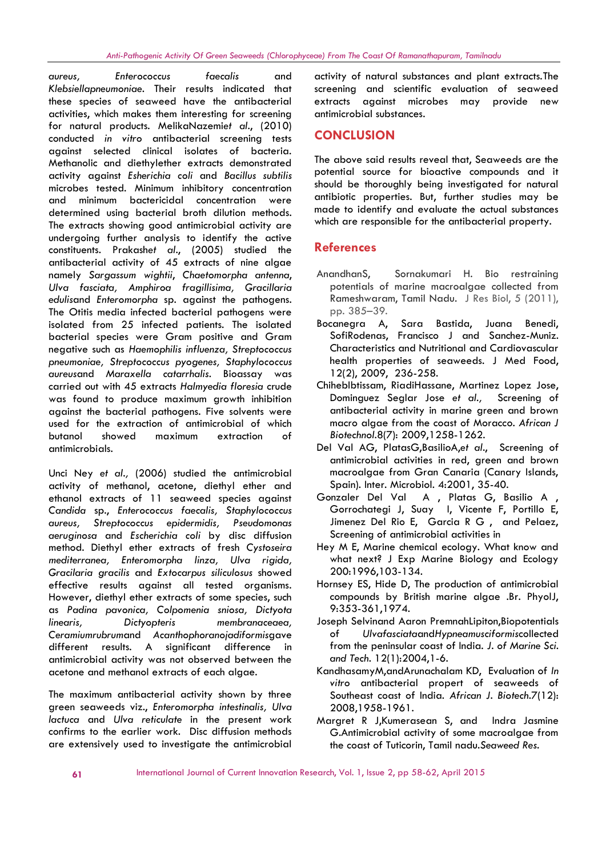*aureus, Enterococcus faecalis* and *Klebsiellapneumoniae*. Their results indicated that these species of seaweed have the antibacterial activities, which makes them interesting for screening for natural products. MelikaNazemi*et al*., (2010) conducted *in vitro* antibacterial screening tests against selected clinical isolates of bacteria. Methanolic and diethylether extracts demonstrated activity against *Esherichia coli* and *Bacillus subtilis* microbes tested. Minimum inhibitory concentration and minimum bactericidal concentration were determined using bacterial broth dilution methods. The extracts showing good antimicrobial activity are undergoing further analysis to identify the active constituents. Prakash*et al*., (2005) studied the antibacterial activity of 45 extracts of nine algae namely *Sargassum wightii*, *Chaetomorpha antenna*, *Ulva fasciata, Amphiroa fragillisima, Gracillaria edulis*and *Enteromorpha* sp. against the pathogens. The Otitis media infected bacterial pathogens were rep. 385–39.<br>
Isolated from 25 infected patients. The isolated Bocaneara A. isolated from 25 infected patients. The isolated bacterial species were Gram positive and Gram negative such as *Haemophilis influenza, Streptococcus pneumoniae, Streptococcus pyogenes, Staphylococcus aureus*and *Maraxella catarrhalis*. Bioassay was carried out with 45 extracts *Halmyedia floresia* crude was found to produce maximum growth inhibition against the bacterial pathogens. Five solvents were used for the extraction of antimicrobial of which butanol showed maximum extraction of antimicrobials.

Unci Ney *et al.,* (2006) studied the antimicrobial activity of methanol, acetone, diethyl ether and ethanol extracts of 11 seaweed species against *Candida* sp., *Enterococcus faecalis, Staphylococcus aureus, Streptococcus epidermidis, Pseudomonas aeruginosa* and *Escherichia coli* by disc diffusion method. Diethyl ether extracts of fresh *Cystoseira mediterranea, Enteromorpha linza, Ulva rigida, Gracilaria gracilis* and *Extocarpus siliculosus* showed effective results against all tested organisms. However, diethyl ether extracts of some species, such as *Padina pavonica, Colpomenia sniosa, Dictyota linearis, Dictyopteris membranaceaea, Ceramiumrubrum*and *Acanthophoranojadiformis*gave different results. A significant difference in antimicrobial activity was not observed between the acetone and methanol extracts of each algae.

The maximum antibacterial activity shown by three green seaweeds viz., *Enteromorpha intestinalis, Ulva lactuca* and *Ulva reticulate* in the present work confirms to the earlier work. Disc diffusion methods are extensively used to investigate the antimicrobial activity of natural substances and plant extracts.The screening and scientific evaluation of seaweed extracts against microbes may provide new antimicrobial substances.

## **CONCLUSION**

The above said results reveal that, Seaweeds are the potential source for bioactive compounds and it should be thoroughly being investigated for natural antibiotic properties. But, further studies may be made to identify and evaluate the actual substances which are responsible for the antibacterial property.

## **References**

- Sornakumari H. Bio restraining potentials of marine macroalgae collected from Rameshwaram, Tamil Nadu. J Res Biol, 5 (2011), pp. 385–39.
- Sara Bastida, Juana Benedi, SofiRodenas, Francisco J and Sanchez-Muniz. Characteristics and Nutritional and Cardiovascular health properties of seaweeds. J Med Food, 12(2), 2009, 236-258.
- ChihebIbtissam, RiadiHassane, Martinez Lopez Jose, Dominguez Seglar Jose *et al.,* Screening of antibacterial activity in marine green and brown macro algae from the coast of Moracco. *African J Biotechnol.*8(7): 2009,1258-1262.
- Del Val AG, PlatasG,BasilioA,*et al*., Screening of antimicrobial activities in red, green and brown macroalgae from Gran Canaria (Canary Islands, Spain). Inter. Microbiol*.* 4:2001, 35-40.
- Gonzaler Del Val A , Platas G, Basilio A , Gorrochategi J, Suay I, Vicente F, Portillo E, Jimenez Del Rio E, Garcia R G , and Pelaez, Screening of antimicrobial activities in
- Hey M E, Marine chemical ecology. What know and what next? J Exp Marine Biology and Ecology 200:1996,103-134.
- Hornsey ES, Hide D, The production of antimicrobial compounds by British marine algae .Br. PhyolJ, 9:353-361,1974.
- Joseph Selvinand Aaron PremnahLipiton,Biopotentials of *Ulvafasciata*and*Hypneamusciformis*collected from the peninsular coast of India. *J. of Marine Sci. and Tech.* 12(1):2004,1-6.
- KandhasamyM,andArunachalam KD, Evaluation of *In vitro* antibacterial propert of seaweeds of Southeast coast of India. *African J. Biotech.*7(12): 2008,1958-1961.
- Margret R J,Kumerasean S, and Indra Jasmine G.Antimicrobial activity of some macroalgae from the coast of Tuticorin, Tamil nadu.*Seaweed Res.*